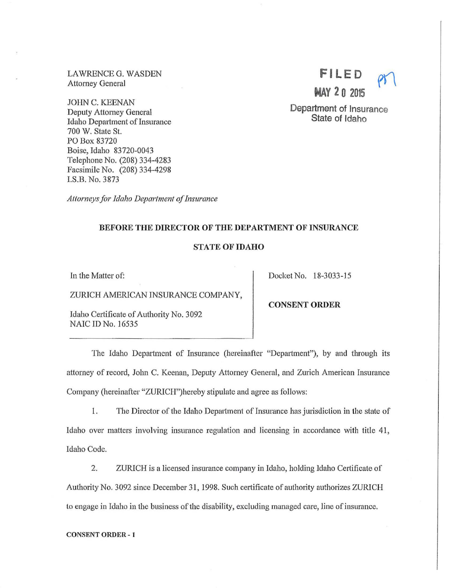LAWRENCE G. WASDEN Attorney General

JOHN C. KEENAN Deputy Attorney General Idaho Department of Insurance 700 W. State St. PO Box 83720 Boise, Idaho 83720-0043 Telephone No. (208) 334-4283 Facsimile No. (208) 334-4298 I.S.B. No. 3873

Attorneys for Idaho Department of Insurance

# BEFORE THE DIRECTOR OF THE DEPARTMENT OF INSURANCE

## STATE OF IDAHO

In the Matter of:

ZURICH AMERICAN INSURANCE COMPANY,

Idaho Certificate of Authority No. 3092 NAIC ID No. 16535

Docket No. 18-3033-15

CONSENT ORDER

The Idaho Department of Insurance (hereinafter "Department"), by and through its attorney of record, John C. Keenan, Deputy Attorney General, and Zurich American Insurance Company (hereinafter "ZURICII")hereby stipulate and agree as follows:

1. The Director of the Idaho Department of Insurance has jurisdiction in the state of Idaho over matters involving insurance regulation and licensing in accordance with title 41, Idaho Code.

2. ZURICH is a licensed insurance company in Idaho, holding Idaho Certificate of Authority No. 3092 since December 31, 1998. Such cettificate of authority authorizes ZURICH to engage in Idaho in the business of the disability, excluding managed care, line of insurance.

#### CONSENT ORDER - 1



Department of Insurance State of Idaho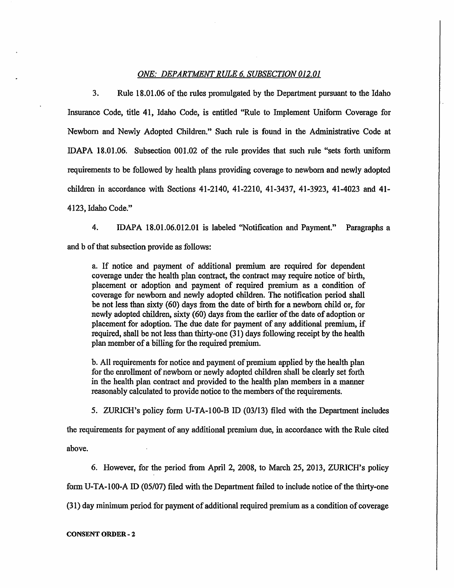## *ONE: DEPARTMENT RULE 6. SUBSECTION 012.01*

3. Rule 18.01.06 of the rules promulgated by the Department pursuant to the Idaho Insurance Code, title 41, Idaho Code, is entitled "Rule to Implement Uniform Coverage for Newborn and Newly Adopted Children." Such rule is found in the Administrative Code at IDAPA 18.01.06. Subsection 001.02 of the rule provides that such rule "sets forth uniform requirements to be followed by health plans providing coverage to newborn and newly adopted children in accordance with Sections 41-2140, 41-2210, 41-3437, 41-3923, 41-4023 and 41-4123, Idaho Code."

4. IDAPA 18.01.06.012.01 is labeled "Notification and Payment." Paragraphs a and b of that subsection provide as follows:

a. If notice and payment of additional premium are required for dependent coverage under the health plan contract, the contract may require notice of birth, placement or adoption and payment of required premium as a condition of coverage for newborn and newly adopted children. The notification period shall be not less than sixty ( 60) days from the date of birth for a newborn child or, for newly adopted children, sixty (60) days from the earlier of the date of adoption or placement for adoption. The due date for payment of any additional premium, if required, shall be not less than thirty-one (31) days following receipt by the health plan member of a billing for the required premium.

b. All requirements for notice and payment of premium applied by the health plan for the enrollment of newborn or newly adopted children shall be clearly set forth in the health plan contract and provided to the health plan members in a manner reasonably calculated to provide notice to the members of the requirements.

5. ZURICH's policy form U-TA-100-B ID (03/13) filed with the Department includes

the requirements for payment of any additional premium due, in accordance with the Rule cited above.

6. However, for the period from April 2, 2008, to March 25, 2013, ZURICH's policy form U-TA-100-A ID (05/07) filed with the Department failed to include notice of the thirty-one (31) day minimum period for payment of additional required premium as a condition of coverage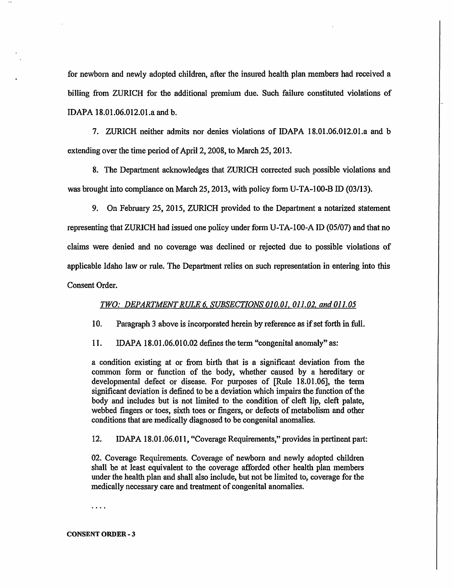for newborn and newly adopted children, after the insured health plan members had received a billing from ZURICH for the additional premium due. Such failure constituted violations of IDAPA 18.01.06.012.01.a and b.

7. ZURICH neither admits nor denies violations of IDAPA 18.01.06.012.01.a and b extending over the time period of April 2, 2008, to March 25, 2013.

8. The Department acknowledges that ZURICH corrected such possible violations and was brought into compliance on March 25, 2013, with policy form U-TA-100-B ID (03/13).

9. On February 25, 2015, ZURICH provided to the Department a notarized statement representing that ZURICH had issued one policy under form U-TA-100-A ID (05/07) and that no claims were denied and no coverage was declined or rejected due to possible violations of applicable Idaho law or rule. The Department relies on such representation in entering into this Consent Order.

## *TWO: DEPARTMENT RULE 6. SUBSECTIONS 010.01. 011.02. and 011. 05*

10. Paragraph 3 above is incotporated herein by reference as if set forth in full.

11. IDAPA 18.01.06.010.02 defines the term "congenital anomaly" as:

a condition existing at or from birth that is a significant deviation from the common form or function of the body, whether caused by a hereditary or developmental defect or disease. For purposes of [Rule 18.01.06], the term significant deviation is defined to be a deviation which impairs the function of the body and includes but is not limited to the condition of cleft lip, cleft palate, webbed fingers or toes, sixth toes or fingers, or defects of metabolism and other conditions that are medically diagnosed to be congenital anomalies.

12. IDAPA 18.01.06.011, "Coverage Requirements," provides in pertinent part:

02. Coverage Requirements. Coverage of newborn and newly adopted children shall be at least equivalent to the coverage afforded other health plan members under the health plan and shall also include, but not be limited to, coverage for the medically necessary care and treatment of congenital anomalies.

 $\cdots$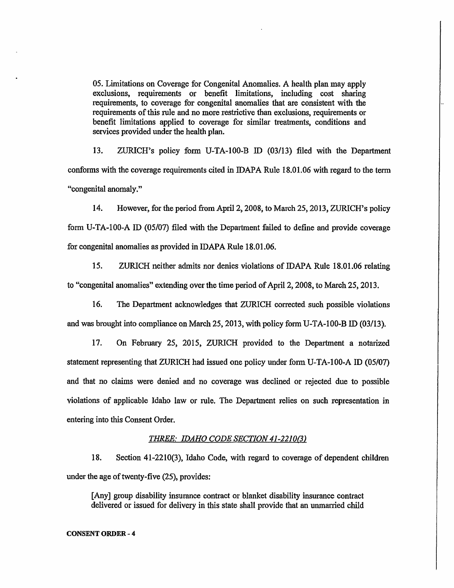05. Limitations on Coverage for Congenital Anomalies. A health plan may apply exclusions, requirements or benefit limitations, including cost sharing requirements, to coverage for congenital anomalies that are consistent with the requirements of this rule and no more restrictive than exclusions, requirements or benefit limitations applied to coverage for similar treatments, conditions and services provided under the health plan.

13. ZURICH's policy form U-TA-100-B ID (03/13) filed with the Department conforms with the coverage requirements cited in IDAPA Rule 18.01.06 with regard to the term "congenital anomaly."

14. However, for the period from April 2, 2008; to March 25, 2013, ZURICH's policy form U-TA-100-A ID (05/07) filed with the Department failed to define and provide coverage for congenital anomalies as provided in IDAPA Rule 18.01.06.

15. ZURICH neither admits nor denies violations of IDAPA Rule 18.01.06 relating to "congenital anomalies" extending over the time period of April 2, 2008, to March 25, 2013.

16. The Department acknowledges that ZURICH corrected such possible violations and was brought into compliance on March 25, 2013, with policy form U-TA-100-B ID (03/13).

17. On February 25, 2015, ZURICH provided to the Department a notarized statement representing that ZURICH had issued one policy under form U-TA-100-A ID (05/07) and that no claims were denied and no coverage was declined or rejected due to possible violations of applicable Idaho law or rule. The Department relies on such representation in entering into this Consent Order.

## **THREE: IDAHO CODE SECTION 41-2210(3)**

18. Section 41-2210(3), Idaho Code, with regard to coverage of dependent children under the age of twenty-five (25), provides:

[Any] group disability insurance contract or blanket disability insurance contract delivered or issued for delivery in this state shall provide that an unmanied child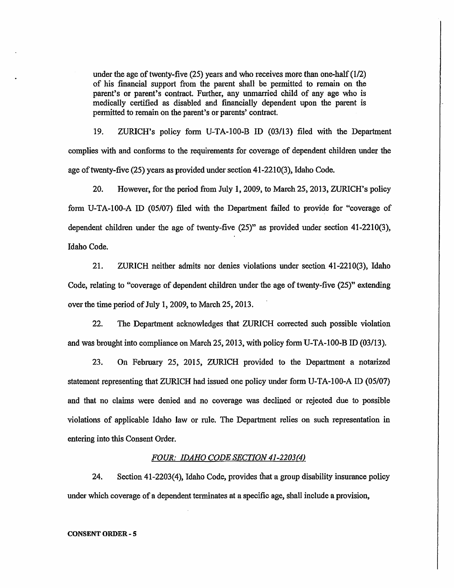under the age of twenty-five (25) years and who receives more than one-half (1/2) of his financial support from the parent shall be permitted to remain on the parent's or parent's contract. Further, any unmarried child of any age who is medically certified as disabled and financially dependent upon the parent is permitted to remain on the parent's or parents' contract.

19. ZURICH's policy form U-TA-100-B ID (03/13) filed with the Department complies with and conforms to the requirements for coverage of dependent children under the age of twenty-five (25) years as provided under section 41-2210(3), Idaho Code.

20. However, for the period from July 1, 2009, to March 25, 2013, ZURICH's policy form U-TA-100-A ID (05/07) filed with the Department failed to provide for "coverage of dependent children under the age of twenty-five (25)" as provided under section 41-2210(3), Idaho Code.

21. ZURICH neither admits nor denies violations under section 41-2210(3), Idaho Code, relating to "coverage of dependent children under the age of twenty-five (25)" extending over the time period of July 1, 2009, to March 25, 2013.

22. The Department acknowledges that ZURICH corrected such possible violation and was brought into compliance on March 25, 2013, with policy form U-TA-100-B ID (03/13).

23. On February 25, 2015, ZURICH provided to the Department a notarized statement representing that ZURICH had issued one policy under fotm U-TA-100-A ID (05/07) and that no claims were denied and no coverage was declined or rejected due to possible violations of applicable Idaho law or rule. The Department relies on such representation in entering into this Consent Order.

## *FOUR: IDAHO CODE SECTION 41-2203(4)*

24. Section 41-2203(4), Idaho Code, provides that a group disability insurance policy under which coverage of a dependent terminates at a specific age, shall include a provision,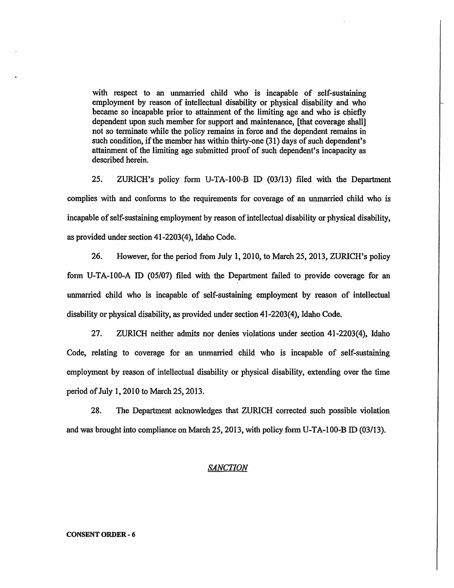with respect to an unmarried child who is incapable of self-sustaining employment by reason of intellectual disability or physical disability and who became so incapable prior to attainment of the limiting age and who is chiefly dependent upon such member for support and maintenance, [that coverage shall] not so terminate while the policy remains in force and the dependent remains in such condition, if the member has within thirty-one (31) days of such dependent's attainment of the limiting age submitted proof of such dependent's incapacity as described herein.

25. ZURICH's policy form U-TA-100-B ID (03/13) filed with the Depatiment complies with and conforms to the requirements for coverage of an unmarried child who is incapable of self-sustaining employment by reason of intellectual disability or physical disability, as provided under section 41-2203(4), Idaho Code.

26. However, for the period from July 1, 2010, to March 25, 2013, ZURICH's policy form U-TA-100-A ID (05/07) filed with the Department failed to provide coverage for an unmarried child who is incapable of self-sustaining employment by reason of intellectual disability or physical disability, as provided under section 41-2203(4), Idaho Code.

27. ZURICH neither admits nor denies violations under section 41-2203(4), Idaho Code, relating to coverage for an unmarried child who is incapable of self-sustaining employment by reason of intellectual disability or physical disability, extending over the time period of July 1, 2010 to March 25, 2013.

28. The Department acknowledges that ZURICH corrected such possible violation and was brought into compliance on March 25, 2013, with policy form U-TA-100-B ID (03/13).

### *SANCTION*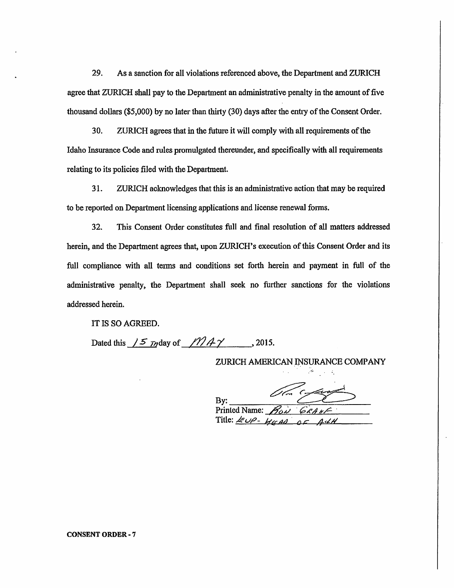29. As a sanction for all violations referenced above, the Department and ZURICH agree that ZURICH shall pay to the Department an administrative penalty in the amount of five thousand dollars (\$5,000) by no later than thirty (30) days after the entry of the Consent Order.

30. ZURICH agrees that in the future it will comply with all requirements of the Idaho Insurance Code and rules promulgated thereunder, and specifically with all requirements relating to its policies filed with the Department.

31. ZURICH acknowledges that this is an administrative action that may be required to be reported on Department licensing applications and license renewal forms.

32. This Consent Order constitutes full and final resolution of all matters addressed herein, and the Department agrees that, upon ZURICH's execution of this Consent Order and its full compliance with all terms and conditions set forth herein and payment in full of the administrative penalty, the Department shall seek no further sanctions for the violations addressed herein.

IT IS SO AGREED.

Dated this  $/5$  *T*<sub>2</sub> day of  $/12$  *A*  $\gamma$  , 2015.

ZURICH AMERICAN INSURANCE COMPANY

By: **Printed Name:** Title:  $EUP - HED$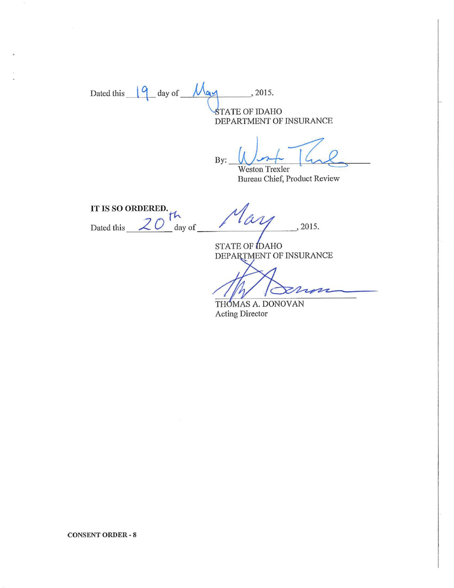Dated this  $\sqrt{q}$  day of  $\frac{M_{q}}{q}$ , 2015. **STATE OF IDAHO** DEPARTMENT OF INSURANCE

By:  $W$  or  $\frac{1}{4}$ 

Bureau Chief, Product Review

**IT IS SO** ORDERED. ~ Dated this  $20 \text{ day of}$  $May$  , 2015.

STATE OF IDAHO DEPARTMENT OF INSURANCE

2  $\overline{\mathbf{z}}$ 

THOMAS A. DONOVAN Acting Director